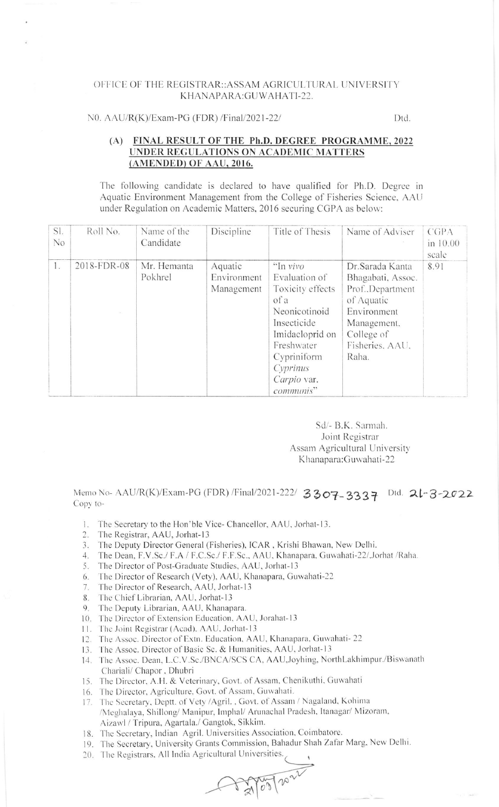## OFFICE OF THE REGISTRAR::ASSAM AGRICULTURAL UNIVERSITY KHANAPARA: GUWAHATI-22.

## N0. AAU/R(K)/Exam-PG (FDR) /Final/2021-22/

Dtd.

## FINAL RESULT OF THE Ph.D. DEGREE PROGRAMME, 2022  $(A)$ UNDER REGULATIONS ON ACADEMIC MATTERS (AMENDED) OF AAU, 2016.

The following candidate is declared to have qualified for Ph.D. Degree in Aquatic Environment Management from the College of Fisheries Science, AAU under Regulation on Academic Matters, 2016 securing CGPA as below:

| SI.<br>N <sub>o</sub> | Roll No.    | Name of the<br>Candidate | Discipline                           | Title of Thesis                                                                                                                                                               | Name of Adviser                                                                                                                                 | CGPA<br>in 10.00<br>scale |
|-----------------------|-------------|--------------------------|--------------------------------------|-------------------------------------------------------------------------------------------------------------------------------------------------------------------------------|-------------------------------------------------------------------------------------------------------------------------------------------------|---------------------------|
| 1.                    | 2018-FDR-08 | Mr. Hemanta<br>Pokhrel   | Aquatic<br>Environment<br>Management | "In vivo<br>Evaluation of<br>Toxicity effects<br>of a<br>Neonicotinoid<br>Insecticide<br>Imidacloprid on<br>Freshwater<br>Cypriniform<br>Cyprinus<br>Carpio var.<br>communis" | Dr.Sarada Kanta<br>Bhagabati, Assoc.<br>Prof., Department<br>of Aquatic<br>Environment<br>Management,<br>College of<br>Fisheries, AAU,<br>Raha. | 8.91                      |

Sd/- B.K. Sarmah. Joint Registrar Assam Agricultural University Khanapara: Guwahati-22

Memo No- AAU/R(K)/Exam-PG (FDR) /Final/2021-222/ 3307-3337 Dtd. 21-3-2022 Copy to-

- 1. The Secretary to the Hon'ble Vice- Chancellor, AAU, Jorhat-13.
- 2. The Registrar, AAU, Jorhat-13
- 3. The Deputy Director General (Fisheries), ICAR, Krishi Bhawan, New Delhi.
- 4. The Dean, F.V.Sc./ F.A / F.C.Sc./ F.F.Sc., AAU, Khanapara, Guwahati-22/,Jorhat /Raha.
- 5. The Director of Post-Graduate Studies, AAU, Jorhat-13
- The Director of Research (Vety), AAU, Khanapara, Guwahati-22 6.
- The Director of Research, AAU, Jorhat-13  $7\phantom{.0}$
- The Chief Librarian, AAU, Jorhat-13 8.
- The Deputy Librarian, AAU, Khanapara. 9.
- 10. The Director of Extension Education, AAU, Jorahat-13
- 11. The Joint Registrar (Acad), AAU, Jorhat-13
- 12. The Assoc. Director of Extn. Education, AAU, Khanapara, Guwahati-22
- 13. The Assoc. Director of Basic Sc. & Humanities, AAU, Jorhat-13
- 14. The Assoc. Dean, L.C.V.Sc./BNCA/SCS CA, AAU, Joyhing, NorthLakhimpur./Biswanath Chariali/Chapor, Dhubri
- 15. The Director, A.H. & Veterinary, Govt. of Assam, Chenikuthi, Guwahati
- 16. The Director, Agriculture, Govt. of Assam, Guwahati.
- 17. The Secretary, Deptt. of Vety /Agril., Govt. of Assam / Nagaland, Kohima /Meghalaya, Shillong/ Manipur, Imphal/ Arunachal Pradesh, Itanagar/ Mizoram, Aizawl / Tripura, Agartala./ Gangtok, Sikkim.
- 18. The Secretary, Indian Agril. Universities Association, Coimbatore.
- 19. The Secretary, University Grants Commission, Bahadur Shah Zafar Marg, New Delhi.

 $A = \frac{1}{2} \sqrt{100} \sqrt{10^{-2} \frac{1}{2}}$ 

20. The Registrars, All India Agricultural Universities.